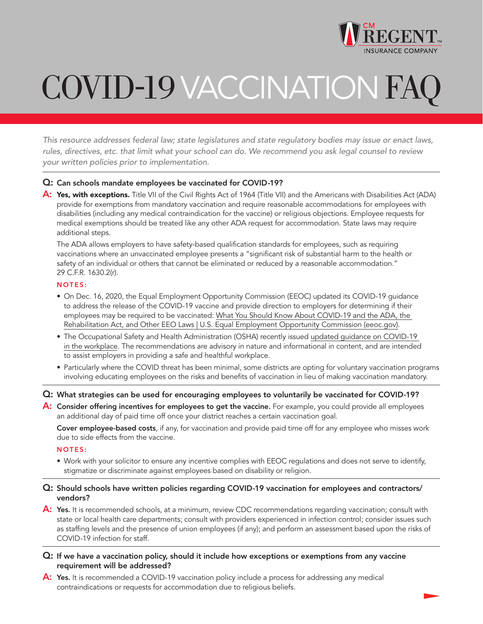

# COVID-19 VACCINATIONFAQ

This resource addresses federal law; state legislatures and state regulatory bodies may issue or enact laws, rules, directives, etc. that limit what your school can do. We recommend you ask legal counsel to review your written policies prior to implementation.

## Q: Can schools mandate employees be vaccinated for COVID-19?

A: Yes, with exceptions. Title VII of the Civil Rights Act of 1964 (Title VII) and the Americans with Disabilities Act (ADA) provide for exemptions from mandatory vaccination and require reasonable accommodations for employees with disabilities (including any medical contraindication for the vaccine) or religious objections. Employee requests for medical exemptions should be treated like any other ADA request for accommodation. State laws may require additional steps.

 The ADA allows employers to have safety-based qualification standards for employees, such as requiring vaccinations where an unvaccinated employee presents a "significant risk of substantial harm to the health or safety of an individual or others that cannot be eliminated or reduced by a reasonable accommodation." 29 C.F.R. 1630.2(r).

### NOTES:

- On Dec. 16, 2020, the Equal Employment Opportunity Commission (EEOC) updated its COVID-19 guidance to address the release of the COVID-19 vaccine and provide direction to employers for determining if their employees may be required to be vaccinated: [What You Should Know About COVID-19 and the ADA, the](https://www.eeoc.gov/wysk/what-you-should-know-about-covid-19-and-ada-rehabilitation-act-and-other-eeo-laws) [Rehabilitation Act, and Other EEO Laws | U.S. Equal Employment Opportunity Commission \(eeoc.gov\).](https://www.eeoc.gov/wysk/what-you-should-know-about-covid-19-and-ada-rehabilitation-act-and-other-eeo-laws)
- The Occupational Safety and Health Administration (OSHA) recently issued [updated guidance on COVID-19](https://www.osha.gov/coronavirus/safework)  [in the workplace.](https://www.osha.gov/coronavirus/safework) The recommendations are advisory in nature and informational in content, and are intended to assist employers in providing a safe and healthful workplace.
- Particularly where the COVID threat has been minimal, some districts are opting for voluntary vaccination programs involving educating employees on the risks and benefits of vaccination in lieu of making vaccination mandatory.

Q: What strategies can be used for encouraging employees to voluntarily be vaccinated for COVID-19?

A: Consider offering incentives for employees to get the vaccine. For example, you could provide all employees an additional day of paid time off once your district reaches a certain vaccination goal.

 Cover employee-based costs, if any, for vaccination and provide paid time off for any employee who misses work due to side effects from the vaccine.

#### NOTES:

 • Work with your solicitor to ensure any incentive complies with EEOC regulations and does not serve to identify, stigmatize or discriminate against employees based on disability or religion.

## Q: Should schools have written policies regarding COVID-19 vaccination for employees and contractors/ vendors?

- A: Yes. It is recommended schools, at a minimum, review CDC recommendations regarding vaccination; consult with state or local health care departments; consult with providers experienced in infection control; consider issues such as staffing levels and the presence of union employees (if any); and perform an assessment based upon the risks of COVID-19 infection for staff.
- Q: If we have a vaccination policy, should it include how exceptions or exemptions from any vaccine requirement will be addressed?
- A: Yes. It is recommended a COVID-19 vaccination policy include a process for addressing any medical contraindications or requests for accommodation due to religious beliefs.